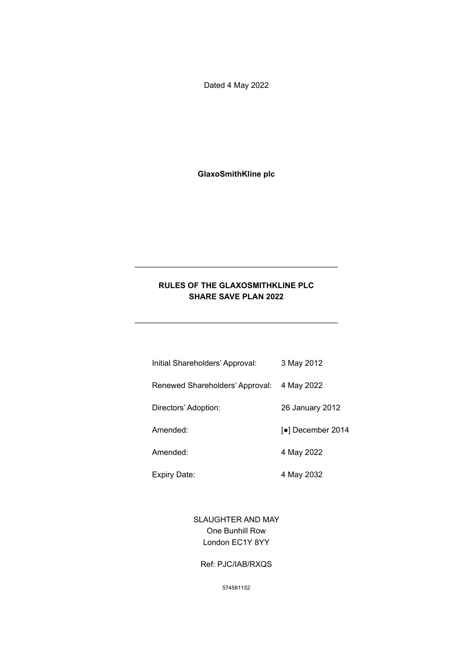Dated 4 May 2022

**GlaxoSmithKline plc**

# **RULES OF THE GLAXOSMITHKLINE PLC SHARE SAVE PLAN 2022**

\_\_\_\_\_\_\_\_\_\_\_\_\_\_\_\_\_\_\_\_\_\_\_\_\_\_\_\_\_\_\_\_\_\_\_\_\_\_\_\_\_\_\_\_\_\_

\_\_\_\_\_\_\_\_\_\_\_\_\_\_\_\_\_\_\_\_\_\_\_\_\_\_\_\_\_\_\_\_\_\_\_\_\_\_\_\_\_\_\_\_\_\_

| Initial Shareholders' Approval: | 3 May 2012        |
|---------------------------------|-------------------|
| Renewed Shareholders' Approval: | 4 May 2022        |
| Directors' Adoption:            | 26 January 2012   |
| Amended:                        | [●] December 2014 |
| Amended:                        | 4 May 2022        |

Expiry Date: 4 May 2032

SLAUGHTER AND MAY One Bunhill Row London EC1Y 8YY

#### Ref: PJC/IAB/RXQS

574581152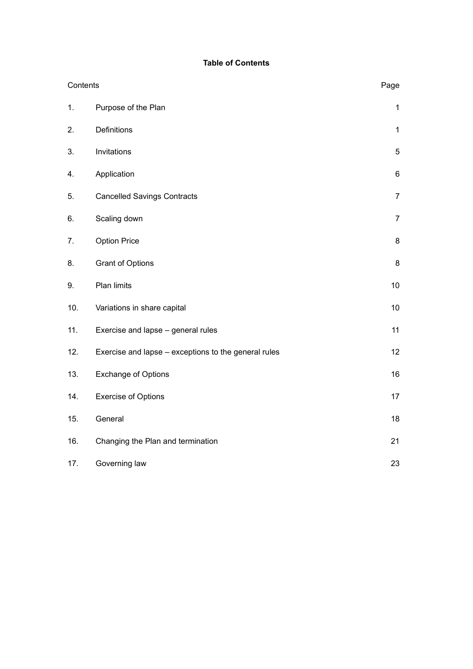# **Table of Contents**

| Contents |                                                      | Page           |
|----------|------------------------------------------------------|----------------|
| 1.       | Purpose of the Plan                                  | $\mathbf{1}$   |
| 2.       | Definitions                                          | $\mathbf{1}$   |
| 3.       | Invitations                                          | 5              |
| 4.       | Application                                          | 6              |
| 5.       | <b>Cancelled Savings Contracts</b>                   | $\overline{7}$ |
| 6.       | Scaling down                                         | $\overline{7}$ |
| 7.       | <b>Option Price</b>                                  | 8              |
| 8.       | <b>Grant of Options</b>                              | 8              |
| 9.       | Plan limits                                          | 10             |
| 10.      | Variations in share capital                          | 10             |
| 11.      | Exercise and lapse - general rules                   | 11             |
| 12.      | Exercise and lapse - exceptions to the general rules | 12             |
| 13.      | <b>Exchange of Options</b>                           | 16             |
| 14.      | <b>Exercise of Options</b>                           | 17             |
| 15.      | General                                              | 18             |
| 16.      | Changing the Plan and termination                    | 21             |
| 17.      | Governing law                                        | 23             |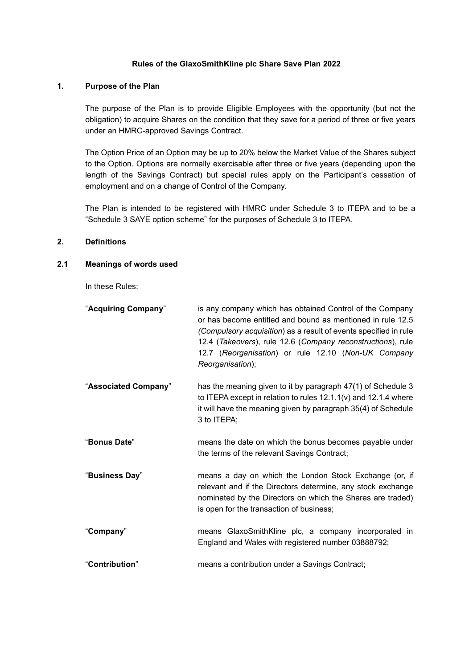## **Rules of the GlaxoSmithKline plc Share Save Plan 2022**

# <span id="page-2-0"></span>**1. Purpose of the Plan**

The purpose of the Plan is to provide Eligible Employees with the opportunity (but not the obligation) to acquire Shares on the condition that they save for a period of three or five years under an HMRC-approved Savings Contract.

The Option Price of an Option may be up to 20% below the Market Value of the Shares subject to the Option. Options are normally exercisable after three or five years (depending upon the length of the Savings Contract) but special rules apply on the Participant's cessation of employment and on a change of Control of the Company.

The Plan is intended to be registered with HMRC under Schedule 3 to ITEPA and to be a "Schedule 3 SAYE option scheme" for the purposes of Schedule 3 to ITEPA.

## <span id="page-2-1"></span>**2. Definitions**

### <span id="page-2-2"></span>**2.1 Meanings of words used**

In these Rules:

| "Acquiring Company"  | is any company which has obtained Control of the Company<br>or has become entitled and bound as mentioned in rule 12.5<br>(Compulsory acquisition) as a result of events specified in rule<br>12.4 (Takeovers), rule 12.6 (Company reconstructions), rule<br>12.7 (Reorganisation) or rule 12.10 (Non-UK Company<br>Reorganisation); |
|----------------------|--------------------------------------------------------------------------------------------------------------------------------------------------------------------------------------------------------------------------------------------------------------------------------------------------------------------------------------|
| "Associated Company" | has the meaning given to it by paragraph 47(1) of Schedule 3<br>to ITEPA except in relation to rules $12.1.1(v)$ and $12.1.4$ where<br>it will have the meaning given by paragraph 35(4) of Schedule<br>3 to ITEPA;                                                                                                                  |
| "Bonus Date"         | means the date on which the bonus becomes payable under<br>the terms of the relevant Savings Contract;                                                                                                                                                                                                                               |
| "Business Day"       | means a day on which the London Stock Exchange (or, if<br>relevant and if the Directors determine, any stock exchange<br>nominated by the Directors on which the Shares are traded)<br>is open for the transaction of business;                                                                                                      |
| "Company"            | means GlaxoSmithKline plc, a company incorporated in<br>England and Wales with registered number 03888792;                                                                                                                                                                                                                           |
| "Contribution"       | means a contribution under a Savings Contract;                                                                                                                                                                                                                                                                                       |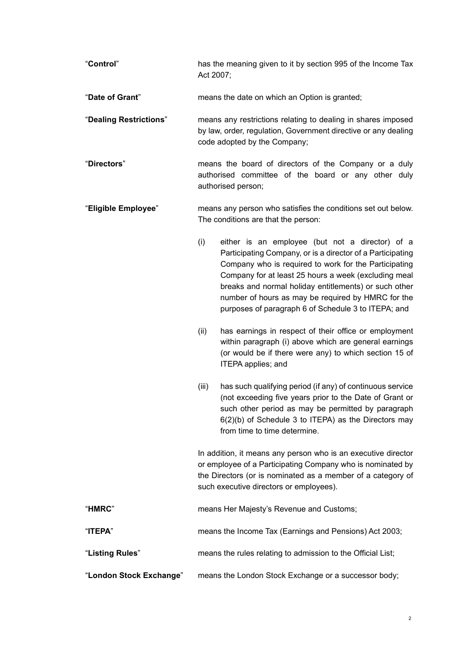- "**Control**" has the meaning given to it by section 995 of the Income Tax Act 2007;
- "**Date of Grant**" means the date on which an Option is granted;
- "**Dealing Restrictions**" means any restrictions relating to dealing in shares imposed by law, order, regulation, Government directive or any dealing code adopted by the Company;
- "**Directors**" means the board of directors of the Company or a duly authorised committee of the board or any other duly authorised person;
- "**Eligible Employee**" means any person who satisfies the conditions set out below. The conditions are that the person:
	- (i) either is an employee (but not a director) of a Participating Company, or is a director of a Participating Company who is required to work for the Participating Company for at least 25 hours a week (excluding meal breaks and normal holiday entitlements) or such other number of hours as may be required by HMRC for the purposes of paragraph 6 of Schedule 3 to ITEPA; and
	- (ii) has earnings in respect of their office or employment within paragraph (i) above which are general earnings (or would be if there were any) to which section 15 of ITEPA applies; and
	- (iii) has such qualifying period (if any) of continuous service (not exceeding five years prior to the Date of Grant or such other period as may be permitted by paragraph 6(2)(b) of Schedule 3 to ITEPA) as the Directors may from time to time determine.

In addition, it means any person who is an executive director or employee of a Participating Company who is nominated by the Directors (or is nominated as a member of a category of such executive directors or employees).

| "HMRC"                  | means Her Majesty's Revenue and Customs;                    |
|-------------------------|-------------------------------------------------------------|
| "ITEPA"                 | means the Income Tax (Earnings and Pensions) Act 2003;      |
| "Listing Rules"         | means the rules relating to admission to the Official List; |
| "London Stock Exchange" | means the London Stock Exchange or a successor body;        |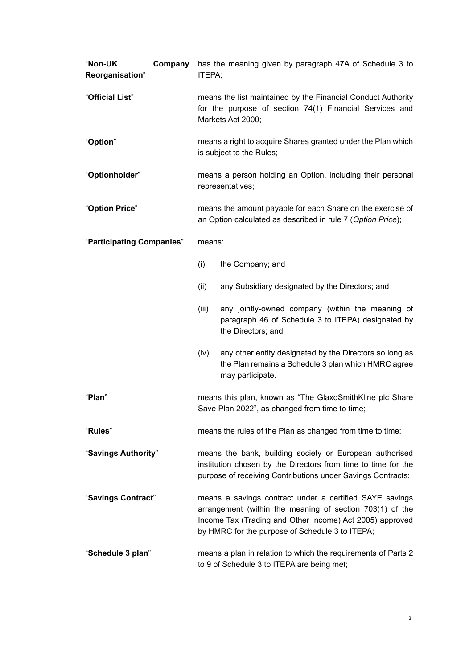| "Non-UK<br>Reorganisation" | Company | has the meaning given by paragraph 47A of Schedule 3 to<br>ITEPA;                                                                                                                                                                  |                                                                                                                                    |  |
|----------------------------|---------|------------------------------------------------------------------------------------------------------------------------------------------------------------------------------------------------------------------------------------|------------------------------------------------------------------------------------------------------------------------------------|--|
| "Official List"            |         | means the list maintained by the Financial Conduct Authority<br>for the purpose of section 74(1) Financial Services and<br>Markets Act 2000;                                                                                       |                                                                                                                                    |  |
| "Option"                   |         | means a right to acquire Shares granted under the Plan which<br>is subject to the Rules;                                                                                                                                           |                                                                                                                                    |  |
| "Optionholder"             |         | means a person holding an Option, including their personal<br>representatives;                                                                                                                                                     |                                                                                                                                    |  |
| "Option Price"             |         | means the amount payable for each Share on the exercise of<br>an Option calculated as described in rule 7 (Option Price);                                                                                                          |                                                                                                                                    |  |
| "Participating Companies"  |         | means:                                                                                                                                                                                                                             |                                                                                                                                    |  |
|                            |         | (i)                                                                                                                                                                                                                                | the Company; and                                                                                                                   |  |
|                            |         | (ii)                                                                                                                                                                                                                               | any Subsidiary designated by the Directors; and                                                                                    |  |
|                            |         | (iii)                                                                                                                                                                                                                              | any jointly-owned company (within the meaning of<br>paragraph 46 of Schedule 3 to ITEPA) designated by<br>the Directors; and       |  |
|                            |         | (iv)                                                                                                                                                                                                                               | any other entity designated by the Directors so long as<br>the Plan remains a Schedule 3 plan which HMRC agree<br>may participate. |  |
| "Plan"                     |         | means this plan, known as "The GlaxoSmithKline plc Share<br>Save Plan 2022", as changed from time to time;                                                                                                                         |                                                                                                                                    |  |
| "Rules"                    |         | means the rules of the Plan as changed from time to time;                                                                                                                                                                          |                                                                                                                                    |  |
| "Savings Authority"        |         | means the bank, building society or European authorised<br>institution chosen by the Directors from time to time for the<br>purpose of receiving Contributions under Savings Contracts;                                            |                                                                                                                                    |  |
| "Savings Contract"         |         | means a savings contract under a certified SAYE savings<br>arrangement (within the meaning of section 703(1) of the<br>Income Tax (Trading and Other Income) Act 2005) approved<br>by HMRC for the purpose of Schedule 3 to ITEPA; |                                                                                                                                    |  |
| "Schedule 3 plan"          |         | means a plan in relation to which the requirements of Parts 2<br>to 9 of Schedule 3 to ITEPA are being met;                                                                                                                        |                                                                                                                                    |  |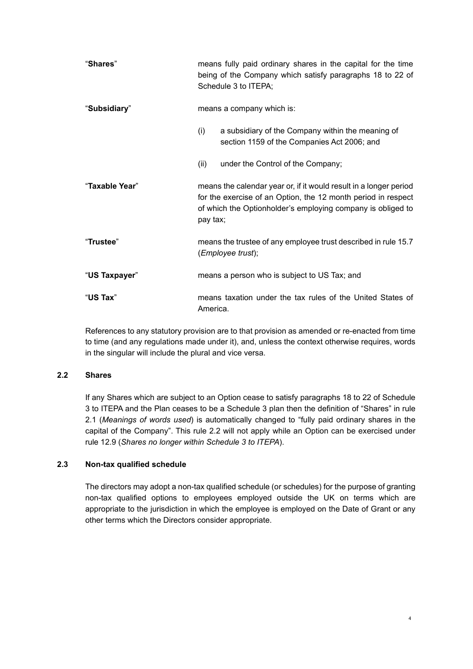| "Shares"       | means fully paid ordinary shares in the capital for the time<br>being of the Company which satisfy paragraphs 18 to 22 of<br>Schedule 3 to ITEPA;                                                             |  |
|----------------|---------------------------------------------------------------------------------------------------------------------------------------------------------------------------------------------------------------|--|
| "Subsidiary"   | means a company which is:                                                                                                                                                                                     |  |
|                | a subsidiary of the Company within the meaning of<br>(i)<br>section 1159 of the Companies Act 2006; and                                                                                                       |  |
|                | under the Control of the Company;<br>(ii)                                                                                                                                                                     |  |
| "Taxable Year" | means the calendar year or, if it would result in a longer period<br>for the exercise of an Option, the 12 month period in respect<br>of which the Optionholder's employing company is obliged to<br>pay tax; |  |
| "Trustee"      | means the trustee of any employee trust described in rule 15.7<br>(Employee trust);                                                                                                                           |  |
| "US Taxpayer"  | means a person who is subject to US Tax; and                                                                                                                                                                  |  |
| "US Tax"       | means taxation under the tax rules of the United States of<br>America.                                                                                                                                        |  |

<span id="page-5-0"></span>References to any statutory provision are to that provision as amended or re-enacted from time to time (and any regulations made under it), and, unless the context otherwise requires, words in the singular will include the plural and vice versa.

## **2.2 Shares**

If any Shares which are subject to an Option cease to satisfy paragraphs 18 to 22 of Schedule 3 to ITEPA and the Plan ceases to be a Schedule 3 plan then the definition of "Shares" in rule [2.1](#page-2-2) (*[Meanings of words used](#page-2-2)*) is automatically changed to "fully paid ordinary shares in the capital of the Company". This rule [2.2](#page-5-0) will not apply while an Option can be exercised under rule [12.9](#page-15-3) (*[Shares no longer within Schedule 3 to ITEPA](#page-15-3)*).

# **2.3 Non-tax qualified schedule**

The directors may adopt a non-tax qualified schedule (or schedules) for the purpose of granting non-tax qualified options to employees employed outside the UK on terms which are appropriate to the jurisdiction in which the employee is employed on the Date of Grant or any other terms which the Directors consider appropriate.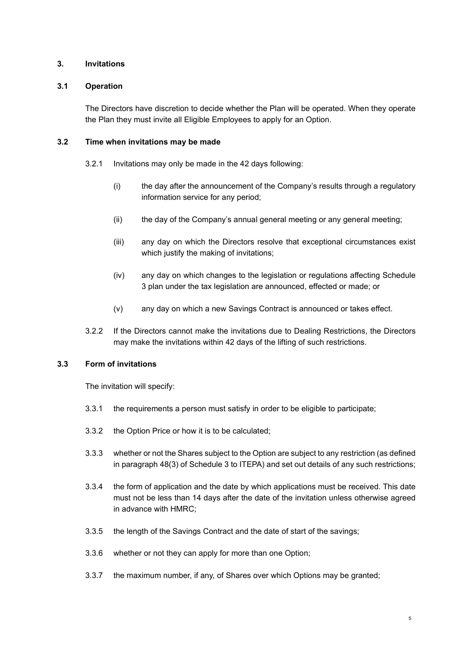## <span id="page-6-0"></span>**3. Invitations**

## **3.1 Operation**

The Directors have discretion to decide whether the Plan will be operated. When they operate the Plan they must invite all Eligible Employees to apply for an Option.

## **3.2 Time when invitations may be made**

- 3.2.1 Invitations may only be made in the 42 days following:
	- (i) the day after the announcement of the Company's results through a regulatory information service for any period;
	- (ii) the day of the Company's annual general meeting or any general meeting;
	- (iii) any day on which the Directors resolve that exceptional circumstances exist which justify the making of invitations;
	- (iv) any day on which changes to the legislation or regulations affecting Schedule 3 plan under the tax legislation are announced, effected or made; or
	- (v) any day on which a new Savings Contract is announced or takes effect.
- 3.2.2 If the Directors cannot make the invitations due to Dealing Restrictions, the Directors may make the invitations within 42 days of the lifting of such restrictions.

## **3.3 Form of invitations**

The invitation will specify:

- 3.3.1 the requirements a person must satisfy in order to be eligible to participate;
- 3.3.2 the Option Price or how it is to be calculated;
- <span id="page-6-2"></span>3.3.3 whether or not the Shares subject to the Option are subject to any restriction (as defined in paragraph 48(3) of Schedule 3 to ITEPA) and set out details of any such restrictions;
- 3.3.4 the form of application and the date by which applications must be received. This date must not be less than 14 days after the date of the invitation unless otherwise agreed in advance with HMRC;
- 3.3.5 the length of the Savings Contract and the date of start of the savings;
- 3.3.6 whether or not they can apply for more than one Option;
- <span id="page-6-1"></span>3.3.7 the maximum number, if any, of Shares over which Options may be granted;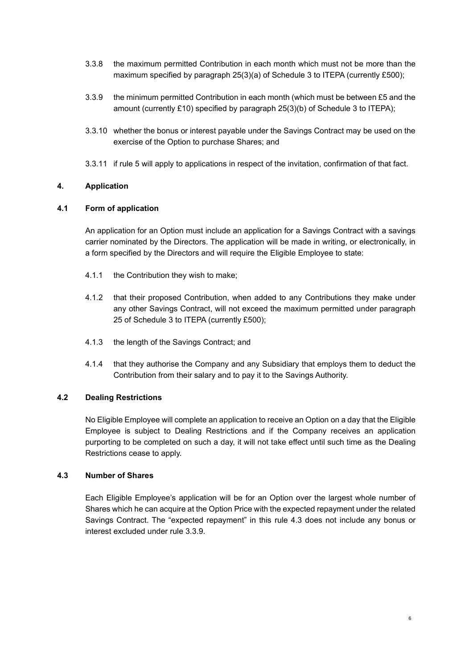- 3.3.8 the maximum permitted Contribution in each month which must not be more than the maximum specified by paragraph 25(3)(a) of Schedule 3 to ITEPA (currently £500);
- 3.3.9 the minimum permitted Contribution in each month (which must be between £5 and the amount (currently £10) specified by paragraph 25(3)(b) of Schedule 3 to ITEPA);
- <span id="page-7-2"></span>3.3.10 whether the bonus or interest payable under the Savings Contract may be used on the exercise of the Option to purchase Shares; and
- 3.3.11 if rule [5](#page-8-0) will apply to applications in respect of the invitation, confirmation of that fact.

# <span id="page-7-0"></span>**4. Application**

## **4.1 Form of application**

An application for an Option must include an application for a Savings Contract with a savings carrier nominated by the Directors. The application will be made in writing, or electronically, in a form specified by the Directors and will require the Eligible Employee to state:

- 4.1.1 the Contribution they wish to make;
- 4.1.2 that their proposed Contribution, when added to any Contributions they make under any other Savings Contract, will not exceed the maximum permitted under paragraph 25 of Schedule 3 to ITEPA (currently £500);
- 4.1.3 the length of the Savings Contract; and
- 4.1.4 that they authorise the Company and any Subsidiary that employs them to deduct the Contribution from their salary and to pay it to the Savings Authority.

## **4.2 Dealing Restrictions**

No Eligible Employee will complete an application to receive an Option on a day that the Eligible Employee is subject to Dealing Restrictions and if the Company receives an application purporting to be completed on such a day, it will not take effect until such time as the Dealing Restrictions cease to apply.

## <span id="page-7-1"></span>**4.3 Number of Shares**

Each Eligible Employee's application will be for an Option over the largest whole number of Shares which he can acquire at the Option Price with the expected repayment under the related Savings Contract. The "expected repayment" in this rule [4.3](#page-7-1) does not include any bonus or interest excluded under rule [3.3.9.](#page-7-2)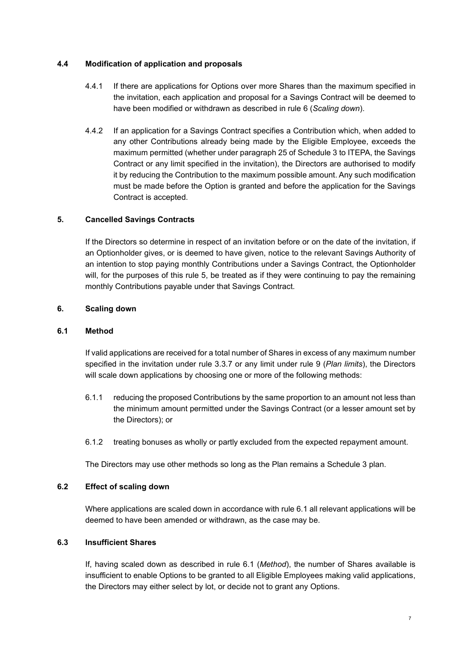## **4.4 Modification of application and proposals**

- 4.4.1 If there are applications for Options over more Shares than the maximum specified in the invitation, each application and proposal for a Savings Contract will be deemed to have been modified or withdrawn as described in rule [6](#page-8-1) (*[Scaling down](#page-8-0)*).
- 4.4.2 If an application for a Savings Contract specifies a Contribution which, when added to any other Contributions already being made by the Eligible Employee, exceeds the maximum permitted (whether under paragraph 25 of Schedule 3 to ITEPA, the Savings Contract or any limit specified in the invitation), the Directors are authorised to modify it by reducing the Contribution to the maximum possible amount. Any such modification must be made before the Option is granted and before the application for the Savings Contract is accepted.

# <span id="page-8-0"></span>**5. Cancelled Savings Contracts**

If the Directors so determine in respect of an invitation before or on the date of the invitation, if an Optionholder gives, or is deemed to have given, notice to the relevant Savings Authority of an intention to stop paying monthly Contributions under a Savings Contract, the Optionholder will, for the purposes of this rule [5,](#page-8-0) be treated as if they were continuing to pay the remaining monthly Contributions payable under that Savings Contract.

## <span id="page-8-1"></span>**6. Scaling down**

## <span id="page-8-2"></span>**6.1 Method**

If valid applications are received for a total number of Shares in excess of any maximum number specified in the invitation under rule [3.3.7](#page-6-1) or any limit under rule [9](#page-11-0) (*Plan limits*), the Directors will scale down applications by choosing one or more of the following methods:

- 6.1.1 reducing the proposed Contributions by the same proportion to an amount not less than the minimum amount permitted under the Savings Contract (or a lesser amount set by the Directors); or
- 6.1.2 treating bonuses as wholly or partly excluded from the expected repayment amount.

The Directors may use other methods so long as the Plan remains a Schedule 3 plan.

## <span id="page-8-4"></span>**6.2 Effect of scaling down**

Where applications are scaled down in accordance with rule 6.1 all relevant applications will be deemed to have been amended or withdrawn, as the case may be.

## <span id="page-8-3"></span>**6.3 Insufficient Shares**

If, having scaled down as described in rule [6.1](#page-8-2) (*[Method](#page-8-2)*), the number of Shares available is insufficient to enable Options to be granted to all Eligible Employees making valid applications, the Directors may either select by lot, or decide not to grant any Options.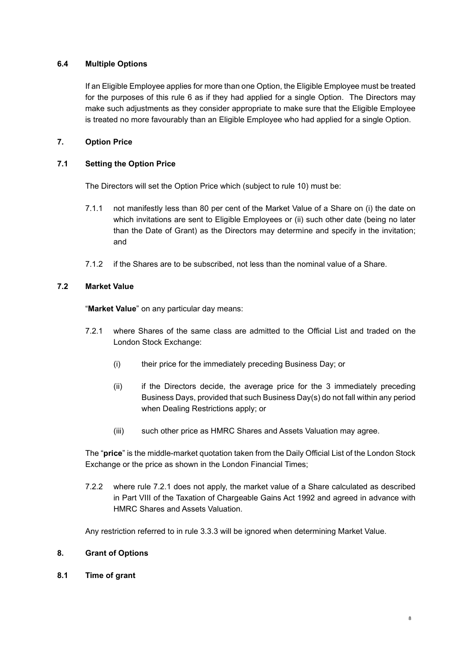# **6.4 Multiple Options**

If an Eligible Employee applies for more than one Option, the Eligible Employee must be treated for the purposes of this rule 6 as if they had applied for a single Option. The Directors may make such adjustments as they consider appropriate to make sure that the Eligible Employee is treated no more favourably than an Eligible Employee who had applied for a single Option.

# <span id="page-9-0"></span>**7. Option Price**

# **7.1 Setting the Option Price**

The Directors will set the Option Price which (subject to rule [10\)](#page-11-1) must be:

- 7.1.1 not manifestly less than 80 per cent of the Market Value of a Share on (i) the date on which invitations are sent to Eligible Employees or (ii) such other date (being no later than the Date of Grant) as the Directors may determine and specify in the invitation; and
- 7.1.2 if the Shares are to be subscribed, not less than the nominal value of a Share.

# **7.2 Market Value**

"**Market Value**" on any particular day means:

- <span id="page-9-2"></span>7.2.1 where Shares of the same class are admitted to the Official List and traded on the London Stock Exchange:
	- (i) their price for the immediately preceding Business Day; or
	- (ii) if the Directors decide, the average price for the 3 immediately preceding Business Days, provided that such Business Day(s) do not fall within any period when Dealing Restrictions apply; or
	- (iii) such other price as HMRC Shares and Assets Valuation may agree.

The "**price**" is the middle-market quotation taken from the Daily Official List of the London Stock Exchange or the price as shown in the London Financial Times;

7.2.2 where rule [7.2.1](#page-9-2) does not apply, the market value of a Share calculated as described in Part VIII of the Taxation of Chargeable Gains Act 1992 and agreed in advance with HMRC Shares and Assets Valuation.

Any restriction referred to in rule [3.3.3](#page-6-2) will be ignored when determining Market Value.

## <span id="page-9-1"></span>**8. Grant of Options**

**8.1 Time of grant**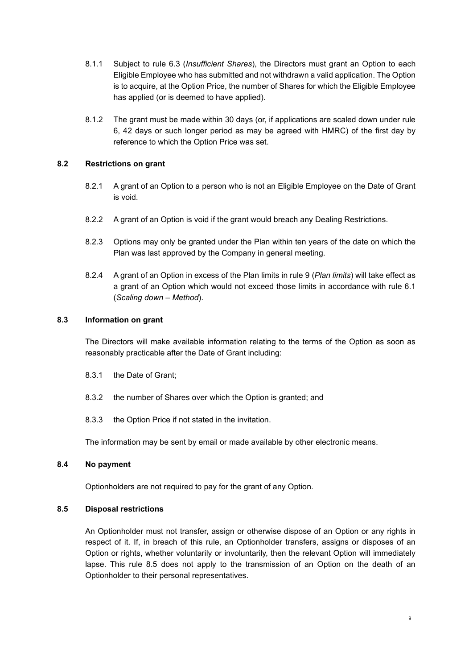- 8.1.1 Subject to rule [6.3](#page-8-3) (*[Insufficient Shares](#page-8-4)*), the Directors must grant an Option to each Eligible Employee who has submitted and not withdrawn a valid application. The Option is to acquire, at the Option Price, the number of Shares for which the Eligible Employee has applied (or is deemed to have applied).
- 8.1.2 The grant must be made within 30 days (or, if applications are scaled down under rule [6,](#page-8-1) 42 days or such longer period as may be agreed with HMRC) of the first day by reference to which the Option Price was set.

## **8.2 Restrictions on grant**

- 8.2.1 A grant of an Option to a person who is not an Eligible Employee on the Date of Grant is void.
- 8.2.2 A grant of an Option is void if the grant would breach any Dealing Restrictions.
- 8.2.3 Options may only be granted under the Plan within ten years of the date on which the Plan was last approved by the Company in general meeting.
- 8.2.4 A grant of an Option in excess of the Plan limits in rule 9 (*Plan limits*) will take effect as a grant of an Option which would not exceed those limits in accordance with rule [6.1](#page-8-2) (*Scaling down – Method*).

### **8.3 Information on grant**

The Directors will make available information relating to the terms of the Option as soon as reasonably practicable after the Date of Grant including:

- 8.3.1 the Date of Grant;
- 8.3.2 the number of Shares over which the Option is granted; and
- 8.3.3 the Option Price if not stated in the invitation.

The information may be sent by email or made available by other electronic means.

### **8.4 No payment**

Optionholders are not required to pay for the grant of any Option.

#### <span id="page-10-0"></span>**8.5 Disposal restrictions**

An Optionholder must not transfer, assign or otherwise dispose of an Option or any rights in respect of it. If, in breach of this rule, an Optionholder transfers, assigns or disposes of an Option or rights, whether voluntarily or involuntarily, then the relevant Option will immediately lapse. This rule [8.5](#page-10-0) does not apply to the transmission of an Option on the death of an Optionholder to their personal representatives.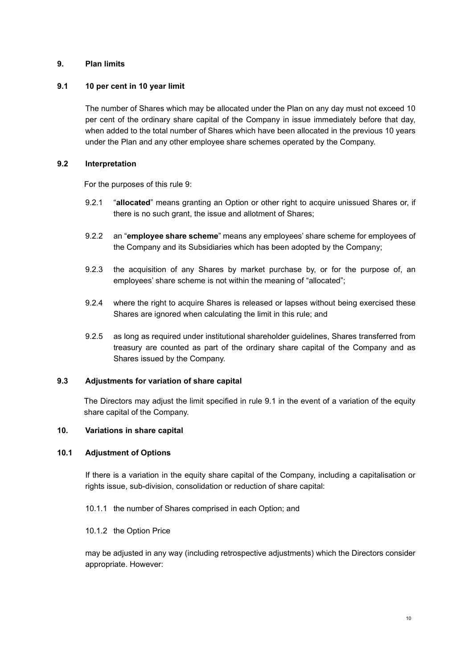# <span id="page-11-0"></span>**9. Plan limits**

## <span id="page-11-2"></span>**9.1 10 per cent in 10 year limit**

The number of Shares which may be allocated under the Plan on any day must not exceed 10 per cent of the ordinary share capital of the Company in issue immediately before that day, when added to the total number of Shares which have been allocated in the previous 10 years under the Plan and any other employee share schemes operated by the Company.

### **9.2 Interpretation**

For the purposes of this rule 9:

- 9.2.1 "**allocated**" means granting an Option or other right to acquire unissued Shares or, if there is no such grant, the issue and allotment of Shares;
- 9.2.2 an "**employee share scheme**" means any employees' share scheme for employees of the Company and its Subsidiaries which has been adopted by the Company;
- 9.2.3 the acquisition of any Shares by market purchase by, or for the purpose of, an employees' share scheme is not within the meaning of "allocated";
- 9.2.4 where the right to acquire Shares is released or lapses without being exercised these Shares are ignored when calculating the limit in this rule; and
- 9.2.5 as long as required under institutional shareholder guidelines, Shares transferred from treasury are counted as part of the ordinary share capital of the Company and as Shares issued by the Company.

## **9.3 Adjustments for variation of share capital**

The Directors may adjust the limit specified in rule [9.1](#page-11-2) in the event of a variation of the equity share capital of the Company.

### <span id="page-11-1"></span>**10. Variations in share capital**

#### **10.1 Adjustment of Options**

If there is a variation in the equity share capital of the Company, including a capitalisation or rights issue, sub-division, consolidation or reduction of share capital:

- 10.1.1 the number of Shares comprised in each Option; and
- 10.1.2 the Option Price

may be adjusted in any way (including retrospective adjustments) which the Directors consider appropriate. However: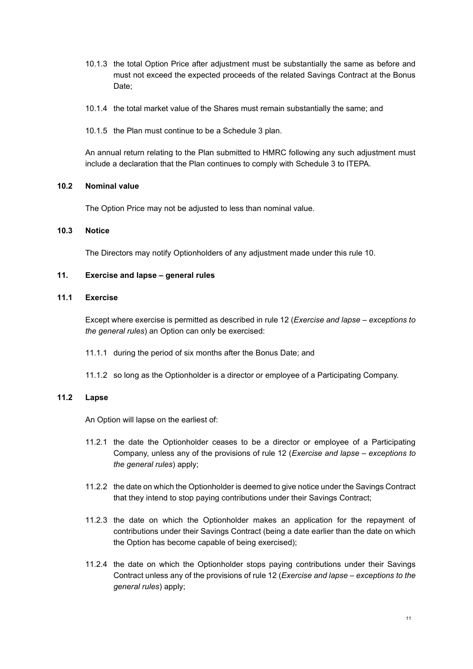- 10.1.3 the total Option Price after adjustment must be substantially the same as before and must not exceed the expected proceeds of the related Savings Contract at the Bonus Date;
- 10.1.4 the total market value of the Shares must remain substantially the same; and
- 10.1.5 the Plan must continue to be a Schedule 3 plan.

An annual return relating to the Plan submitted to HMRC following any such adjustment must include a declaration that the Plan continues to comply with Schedule 3 to ITEPA.

### **10.2 Nominal value**

The Option Price may not be adjusted to less than nominal value.

## **10.3 Notice**

The Directors may notify Optionholders of any adjustment made under this rule [10.](#page-11-1)

## <span id="page-12-0"></span>**11. Exercise and lapse – general rules**

## **11.1 Exercise**

Except where exercise is permitted as described in rule [12](#page-13-0) (*[Exercise and lapse –](#page-13-0) exceptions to [the general rules](#page-13-0)*) an Option can only be exercised:

- 11.1.1 during the period of six months after the Bonus Date; and
- 11.1.2 so long as the Optionholder is a director or employee of a Participating Company.

# **11.2 Lapse**

An Option will lapse on the earliest of:

- 11.2.1 the date the Optionholder ceases to be a director or employee of a Participating Company, unless any of the provisions of rule [12](#page-13-0) (*[Exercise and lapse –](#page-13-0) exceptions to [the general rules](#page-13-0)*) apply;
- 11.2.2 the date on which the Optionholder is deemed to give notice under the Savings Contract that they intend to stop paying contributions under their Savings Contract;
- 11.2.3 the date on which the Optionholder makes an application for the repayment of contributions under their Savings Contract (being a date earlier than the date on which the Option has become capable of being exercised);
- 11.2.4 the date on which the Optionholder stops paying contributions under their Savings Contract unless any of the provisions of rule [12](#page-13-0) (*[Exercise and lapse –](#page-13-0) exceptions to the [general rules](#page-13-0)*) apply;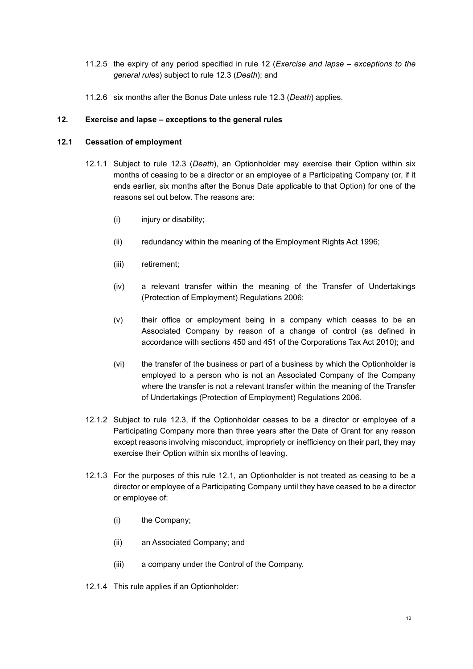- 11.2.5 the expiry of any period specified in rule [12](#page-13-0) (*[Exercise and lapse –](#page-13-0) exceptions to the [general rules](#page-13-0)*) subject to rule [12.3](#page-14-1) (*Death*); and
- 11.2.6 six months after the Bonus Date unless rule [12.3](#page-14-1) (*[Death](#page-14-1)*) applies.

### <span id="page-13-0"></span>**12. Exercise and lapse – exceptions to the general rules**

### <span id="page-13-4"></span><span id="page-13-3"></span>**12.1 Cessation of employment**

- 12.1.1 Subject to rule [12.3](#page-14-1) (*Death*), an Optionholder may exercise their Option within six months of ceasing to be a director or an employee of a Participating Company (or, if it ends earlier, six months after the Bonus Date applicable to that Option) for one of the reasons set out below. The reasons are:
	- (i) injury or disability;
	- (ii) redundancy within the meaning of the Employment Rights Act 1996;
	- (iii) retirement;
	- (iv) a relevant transfer within the meaning of the Transfer of Undertakings (Protection of Employment) Regulations 2006;
	- (v) their office or employment being in a company which ceases to be an Associated Company by reason of a change of control (as defined in accordance with sections 450 and 451 of the Corporations Tax Act 2010); and
	- (vi) the transfer of the business or part of a business by which the Optionholder is employed to a person who is not an Associated Company of the Company where the transfer is not a relevant transfer within the meaning of the Transfer of Undertakings (Protection of Employment) Regulations 2006.
- <span id="page-13-1"></span>12.1.2 Subject to rule [12.3,](#page-14-1) if the Optionholder ceases to be a director or employee of a Participating Company more than three years after the Date of Grant for any reason except reasons involving misconduct, impropriety or inefficiency on their part, they may exercise their Option within six months of leaving.
- 12.1.3 For the purposes of this rule [12.1,](#page-13-3) an Optionholder is not treated as ceasing to be a director or employee of a Participating Company until they have ceased to be a director or employee of:
	- (i) the Company;
	- (ii) an Associated Company; and
	- (iii) a company under the Control of the Company.
- <span id="page-13-2"></span>12.1.4 This rule applies if an Optionholder: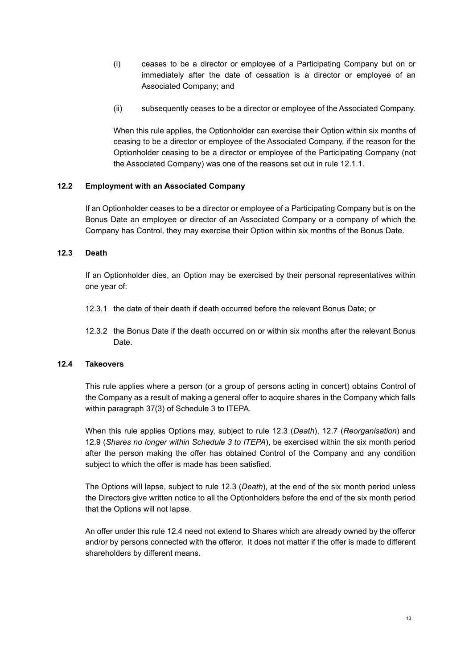- (i) ceases to be a director or employee of a Participating Company but on or immediately after the date of cessation is a director or employee of an Associated Company; and
- (ii) subsequently ceases to be a director or employee of the Associated Company.

When this rule applies, the Optionholder can exercise their Option within six months of ceasing to be a director or employee of the Associated Company, if the reason for the Optionholder ceasing to be a director or employee of the Participating Company (not the Associated Company) was one of the reasons set out in rule [12.1.1.](#page-13-4)

### **12.2 Employment with an Associated Company**

If an Optionholder ceases to be a director or employee of a Participating Company but is on the Bonus Date an employee or director of an Associated Company or a company of which the Company has Control, they may exercise their Option within six months of the Bonus Date.

### <span id="page-14-1"></span>**12.3 Death**

If an Optionholder dies, an Option may be exercised by their personal representatives within one year of:

- 12.3.1 the date of their death if death occurred before the relevant Bonus Date; or
- 12.3.2 the Bonus Date if the death occurred on or within six months after the relevant Bonus Date.

### <span id="page-14-0"></span>**12.4 Takeovers**

This rule applies where a person (or a group of persons acting in concert) obtains Control of the Company as a result of making a general offer to acquire shares in the Company which falls within paragraph 37(3) of Schedule 3 to ITEPA.

When this rule applies Options may, subject to rule [12.3](#page-14-1) (*Death*), [12.7](#page-15-2) (*[Reorganisation](#page-15-2)*) and [12.9](#page-15-3) (*[Shares no longer within Schedule 3 to ITEPA](#page-15-3)*), be exercised within the six month period after the person making the offer has obtained Control of the Company and any condition subject to which the offer is made has been satisfied.

The Options will lapse, subject to rule [12.3](#page-14-1) (*Death*), at the end of the six month period unless the Directors give written notice to all the Optionholders before the end of the six month period that the Options will not lapse.

An offer under this rule [12.4](#page-14-0) need not extend to Shares which are already owned by the offeror and/or by persons connected with the offeror. It does not matter if the offer is made to different shareholders by different means.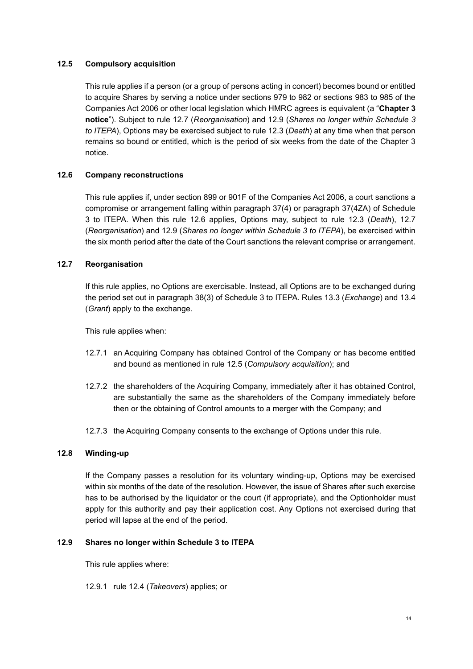# <span id="page-15-0"></span>**12.5 Compulsory acquisition**

This rule applies if a person (or a group of persons acting in concert) becomes bound or entitled to acquire Shares by serving a notice under sections 979 to 982 or sections 983 to 985 of the Companies Act 2006 or other local legislation which HMRC agrees is equivalent (a "**Chapter 3 notice**"). Subject to rule [12.7](#page-15-2) (*[Reorganisation](#page-15-2)*) and [12.9](#page-15-3) (*[Shares no longer within Schedule 3](#page-15-3)  [to ITEPA](#page-15-3)*), Options may be exercised subject to rule [12.3](#page-14-1) (*Death*) at any time when that person remains so bound or entitled, which is the period of six weeks from the date of the Chapter 3 notice.

# <span id="page-15-1"></span>**12.6 Company reconstructions**

This rule applies if, under section 899 or 901F of the Companies Act 2006, a court sanctions a compromise or arrangement falling within paragraph 37(4) or paragraph 37(4ZA) of Schedule 3 to ITEPA. When this rule [12.6](#page-15-1) applies, Options may, subject to rule [12.3](#page-14-1) (*Death*), [12.7](#page-15-2) (*[Reorganisation](#page-15-2)*) and [12.9](#page-15-3) (*[Shares no longer within Schedule 3 to ITEPA](#page-15-3)*), be exercised within the six month period after the date of the Court sanctions the relevant comprise or arrangement.

## <span id="page-15-2"></span>**12.7 Reorganisation**

If this rule applies, no Options are exercisable. Instead, all Options are to be exchanged during the period set out in paragraph 38(3) of Schedule 3 to ITEPA. Rules [13.3](#page-17-1) (*[Exchange](#page-17-1)*) and [13.4](#page-18-1) (*[Grant](#page-18-1)*) apply to the exchange.

This rule applies when:

- 12.7.1 an Acquiring Company has obtained Control of the Company or has become entitled and bound as mentioned in rule [12.5](#page-15-0) (*[Compulsory acquisition](#page-15-0)*); and
- 12.7.2 the shareholders of the Acquiring Company, immediately after it has obtained Control, are substantially the same as the shareholders of the Company immediately before then or the obtaining of Control amounts to a merger with the Company; and
- 12.7.3 the Acquiring Company consents to the exchange of Options under this rule.

## **12.8 Winding-up**

If the Company passes a resolution for its voluntary winding-up, Options may be exercised within six months of the date of the resolution. However, the issue of Shares after such exercise has to be authorised by the liquidator or the court (if appropriate), and the Optionholder must apply for this authority and pay their application cost. Any Options not exercised during that period will lapse at the end of the period.

## <span id="page-15-3"></span>**12.9 Shares no longer within Schedule 3 to ITEPA**

This rule applies where:

12.9.1 rule [12.4](#page-14-0) (*[Takeovers](#page-14-0)*) applies; or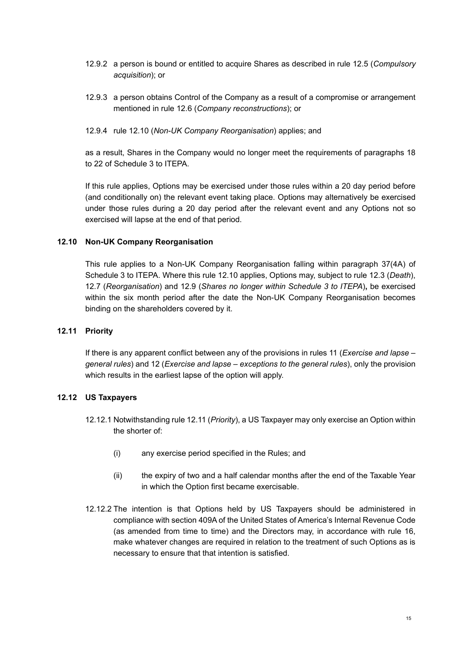- 12.9.2 a person is bound or entitled to acquire Shares as described in rule [12.5](#page-15-0) (*[Compulsory](#page-15-0)  [acquisition](#page-15-0)*); or
- 12.9.3 a person obtains Control of the Company as a result of a compromise or arrangement mentioned in rule [12.6](#page-15-1) (*[Company reconstructions](#page-15-1)*); or
- 12.9.4 rule [12.10](#page-16-0) (*Non-UK Company Reorganisation*) applies; and

as a result, Shares in the Company would no longer meet the requirements of paragraphs 18 to 22 of Schedule 3 to ITEPA.

If this rule applies, Options may be exercised under those rules within a 20 day period before (and conditionally on) the relevant event taking place. Options may alternatively be exercised under those rules during a 20 day period after the relevant event and any Options not so exercised will lapse at the end of that period.

## <span id="page-16-0"></span>**12.10 Non-UK Company Reorganisation**

This rule applies to a Non-UK Company Reorganisation falling within paragraph 37(4A) of Schedule 3 to ITEPA. Where this rule [12.10](#page-16-0) applies, Options may, subject to rule [12.3](#page-14-1) (*Death*), [12.7](#page-15-2) (*[Reorganisation](#page-15-2)*) and [12.9](#page-15-3) (*[Shares no longer within Schedule 3 to ITEPA](#page-15-3)*)**,** be exercised within the six month period after the date the Non-UK Company Reorganisation becomes binding on the shareholders covered by it.

## <span id="page-16-1"></span>**12.11 Priority**

If there is any apparent conflict between any of the provisions in rules [11](#page-12-0) (*[Exercise and lapse –](#page-12-0) [general rules](#page-12-0)*) and [12](#page-13-0) (*Exercise and lapse – [exceptions to the general rules](#page-13-0)*), only the provision which results in the earliest lapse of the option will apply.

## **12.12 US Taxpayers**

- 12.12.1 Notwithstanding rule [12.11](#page-16-1) (*Priority*), a US Taxpayer may only exercise an Option within the shorter of:
	- (i) any exercise period specified in the Rules; and
	- (ii) the expiry of two and a half calendar months after the end of the Taxable Year in which the Option first became exercisable.
- 12.12.2 The intention is that Options held by US Taxpayers should be administered in compliance with section 409A of the United States of America's Internal Revenue Code (as amended from time to time) and the Directors may, in accordance with rule 16, make whatever changes are required in relation to the treatment of such Options as is necessary to ensure that that intention is satisfied.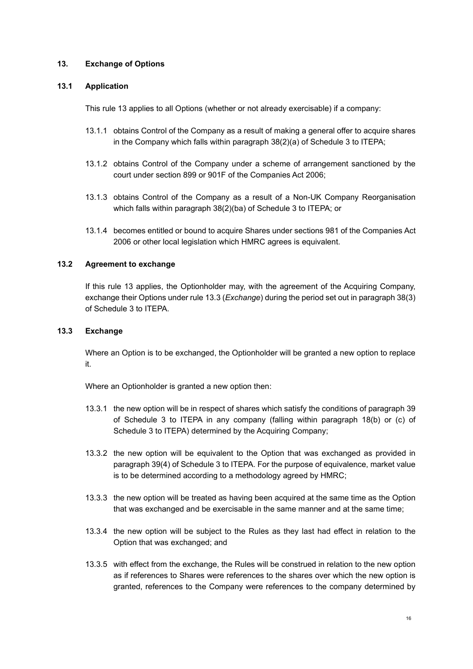## <span id="page-17-0"></span>**13. Exchange of Options**

## **13.1 Application**

This rule [13](#page-17-0) applies to all Options (whether or not already exercisable) if a company:

- 13.1.1 obtains Control of the Company as a result of making a general offer to acquire shares in the Company which falls within paragraph 38(2)(a) of Schedule 3 to ITEPA;
- 13.1.2 obtains Control of the Company under a scheme of arrangement sanctioned by the court under section 899 or 901F of the Companies Act 2006;
- 13.1.3 obtains Control of the Company as a result of a Non-UK Company Reorganisation which falls within paragraph 38(2)(ba) of Schedule 3 to ITEPA; or
- 13.1.4 becomes entitled or bound to acquire Shares under sections 981 of the Companies Act 2006 or other local legislation which HMRC agrees is equivalent.

# **13.2 Agreement to exchange**

If this rule [13](#page-17-0) applies, the Optionholder may, with the agreement of the Acquiring Company, exchange their Options under rule [13.3](#page-17-1) (*[Exchange](#page-17-1)*) during the period set out in paragraph 38(3) of Schedule 3 to ITEPA.

## <span id="page-17-1"></span>**13.3 Exchange**

Where an Option is to be exchanged, the Optionholder will be granted a new option to replace it.

Where an Optionholder is granted a new option then:

- <span id="page-17-2"></span>13.3.1 the new option will be in respect of shares which satisfy the conditions of paragraph 39 of Schedule 3 to ITEPA in any company (falling within paragraph 18(b) or (c) of Schedule 3 to ITEPA) determined by the Acquiring Company;
- 13.3.2 the new option will be equivalent to the Option that was exchanged as provided in paragraph 39(4) of Schedule 3 to ITEPA. For the purpose of equivalence, market value is to be determined according to a methodology agreed by HMRC;
- 13.3.3 the new option will be treated as having been acquired at the same time as the Option that was exchanged and be exercisable in the same manner and at the same time;
- 13.3.4 the new option will be subject to the Rules as they last had effect in relation to the Option that was exchanged; and
- 13.3.5 with effect from the exchange, the Rules will be construed in relation to the new option as if references to Shares were references to the shares over which the new option is granted, references to the Company were references to the company determined by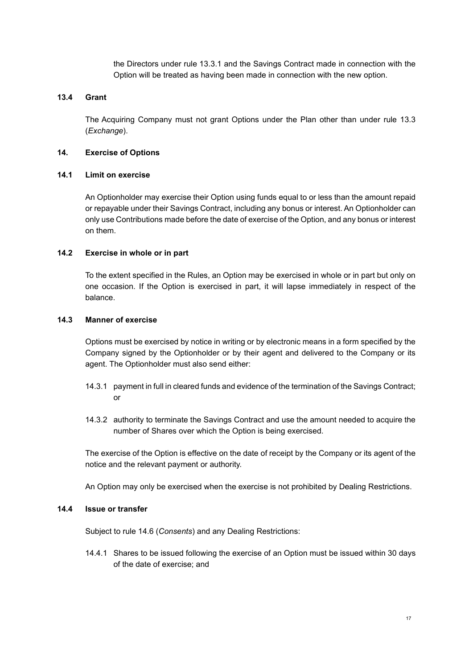the Directors under rule [13.3.1](#page-17-2) and the Savings Contract made in connection with the Option will be treated as having been made in connection with the new option.

## <span id="page-18-1"></span>**13.4 Grant**

The Acquiring Company must not grant Options under the Plan other than under rule [13.3](#page-17-1) (*[Exchange](#page-17-1)*).

### <span id="page-18-0"></span>**14. Exercise of Options**

#### **14.1 Limit on exercise**

An Optionholder may exercise their Option using funds equal to or less than the amount repaid or repayable under their Savings Contract, including any bonus or interest. An Optionholder can only use Contributions made before the date of exercise of the Option, and any bonus or interest on them.

### **14.2 Exercise in whole or in part**

To the extent specified in the Rules, an Option may be exercised in whole or in part but only on one occasion. If the Option is exercised in part, it will lapse immediately in respect of the balance.

### **14.3 Manner of exercise**

Options must be exercised by notice in writing or by electronic means in a form specified by the Company signed by the Optionholder or by their agent and delivered to the Company or its agent. The Optionholder must also send either:

- 14.3.1 payment in full in cleared funds and evidence of the termination of the Savings Contract; or
- 14.3.2 authority to terminate the Savings Contract and use the amount needed to acquire the number of Shares over which the Option is being exercised.

The exercise of the Option is effective on the date of receipt by the Company or its agent of the notice and the relevant payment or authority.

An Option may only be exercised when the exercise is not prohibited by Dealing Restrictions.

### **14.4 Issue or transfer**

Subject to rule [14.6](#page-19-1) (*[Consents](#page-19-1)*) and any Dealing Restrictions:

14.4.1 Shares to be issued following the exercise of an Option must be issued within 30 days of the date of exercise; and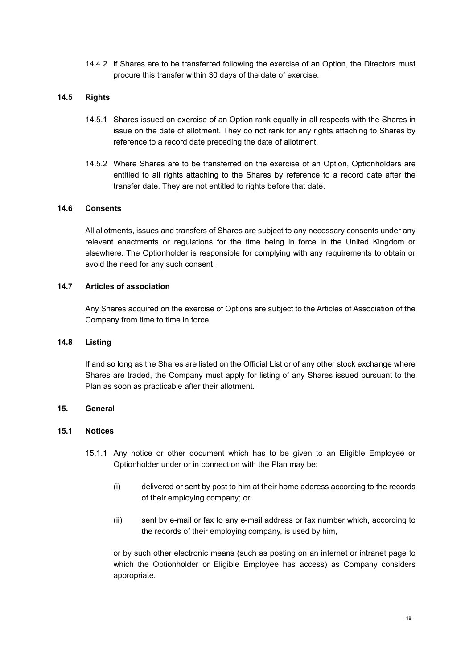14.4.2 if Shares are to be transferred following the exercise of an Option, the Directors must procure this transfer within 30 days of the date of exercise.

### **14.5 Rights**

- 14.5.1 Shares issued on exercise of an Option rank equally in all respects with the Shares in issue on the date of allotment. They do not rank for any rights attaching to Shares by reference to a record date preceding the date of allotment.
- 14.5.2 Where Shares are to be transferred on the exercise of an Option, Optionholders are entitled to all rights attaching to the Shares by reference to a record date after the transfer date. They are not entitled to rights before that date.

### <span id="page-19-1"></span>**14.6 Consents**

All allotments, issues and transfers of Shares are subject to any necessary consents under any relevant enactments or regulations for the time being in force in the United Kingdom or elsewhere. The Optionholder is responsible for complying with any requirements to obtain or avoid the need for any such consent.

### **14.7 Articles of association**

Any Shares acquired on the exercise of Options are subject to the Articles of Association of the Company from time to time in force.

#### **14.8 Listing**

If and so long as the Shares are listed on the Official List or of any other stock exchange where Shares are traded, the Company must apply for listing of any Shares issued pursuant to the Plan as soon as practicable after their allotment.

## <span id="page-19-0"></span>**15. General**

### **15.1 Notices**

- 15.1.1 Any notice or other document which has to be given to an Eligible Employee or Optionholder under or in connection with the Plan may be:
	- (i) delivered or sent by post to him at their home address according to the records of their employing company; or
	- (ii) sent by e-mail or fax to any e-mail address or fax number which, according to the records of their employing company, is used by him,

or by such other electronic means (such as posting on an internet or intranet page to which the Optionholder or Eligible Employee has access) as Company considers appropriate.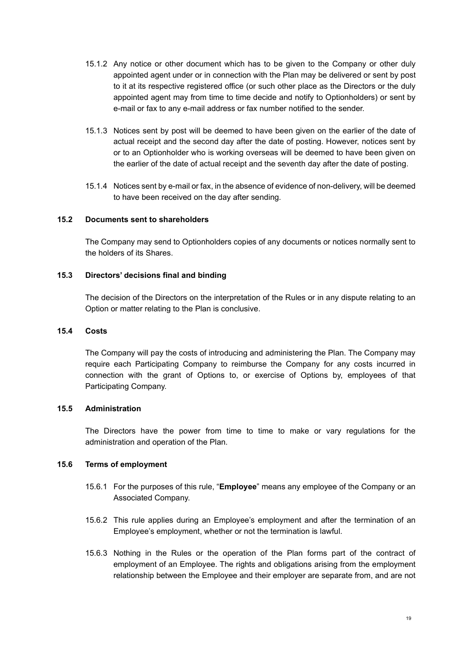- 15.1.2 Any notice or other document which has to be given to the Company or other duly appointed agent under or in connection with the Plan may be delivered or sent by post to it at its respective registered office (or such other place as the Directors or the duly appointed agent may from time to time decide and notify to Optionholders) or sent by e-mail or fax to any e-mail address or fax number notified to the sender.
- 15.1.3 Notices sent by post will be deemed to have been given on the earlier of the date of actual receipt and the second day after the date of posting. However, notices sent by or to an Optionholder who is working overseas will be deemed to have been given on the earlier of the date of actual receipt and the seventh day after the date of posting.
- 15.1.4 Notices sent by e-mail or fax, in the absence of evidence of non-delivery, will be deemed to have been received on the day after sending.

### **15.2 Documents sent to shareholders**

The Company may send to Optionholders copies of any documents or notices normally sent to the holders of its Shares.

### **15.3 Directors' decisions final and binding**

The decision of the Directors on the interpretation of the Rules or in any dispute relating to an Option or matter relating to the Plan is conclusive.

#### **15.4 Costs**

The Company will pay the costs of introducing and administering the Plan. The Company may require each Participating Company to reimburse the Company for any costs incurred in connection with the grant of Options to, or exercise of Options by, employees of that Participating Company.

### **15.5 Administration**

The Directors have the power from time to time to make or vary regulations for the administration and operation of the Plan.

### **15.6 Terms of employment**

- 15.6.1 For the purposes of this rule, "**Employee**" means any employee of the Company or an Associated Company.
- 15.6.2 This rule applies during an Employee's employment and after the termination of an Employee's employment, whether or not the termination is lawful.
- 15.6.3 Nothing in the Rules or the operation of the Plan forms part of the contract of employment of an Employee. The rights and obligations arising from the employment relationship between the Employee and their employer are separate from, and are not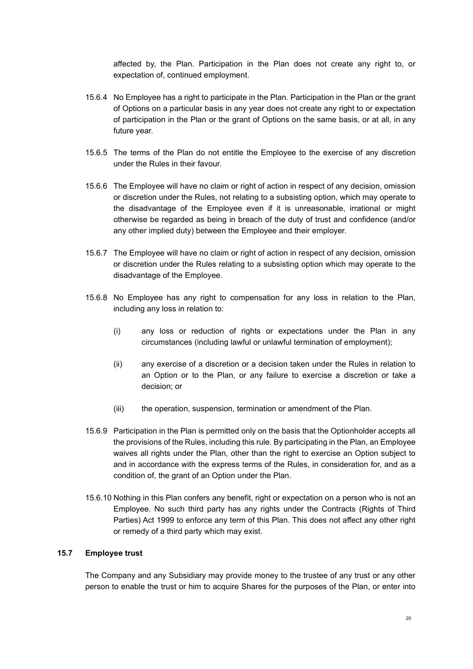affected by, the Plan. Participation in the Plan does not create any right to, or expectation of, continued employment.

- 15.6.4 No Employee has a right to participate in the Plan. Participation in the Plan or the grant of Options on a particular basis in any year does not create any right to or expectation of participation in the Plan or the grant of Options on the same basis, or at all, in any future year.
- 15.6.5 The terms of the Plan do not entitle the Employee to the exercise of any discretion under the Rules in their favour.
- 15.6.6 The Employee will have no claim or right of action in respect of any decision, omission or discretion under the Rules, not relating to a subsisting option, which may operate to the disadvantage of the Employee even if it is unreasonable, irrational or might otherwise be regarded as being in breach of the duty of trust and confidence (and/or any other implied duty) between the Employee and their employer.
- 15.6.7 The Employee will have no claim or right of action in respect of any decision, omission or discretion under the Rules relating to a subsisting option which may operate to the disadvantage of the Employee.
- 15.6.8 No Employee has any right to compensation for any loss in relation to the Plan, including any loss in relation to:
	- (i) any loss or reduction of rights or expectations under the Plan in any circumstances (including lawful or unlawful termination of employment);
	- (ii) any exercise of a discretion or a decision taken under the Rules in relation to an Option or to the Plan, or any failure to exercise a discretion or take a decision; or
	- (iii) the operation, suspension, termination or amendment of the Plan.
- 15.6.9 Participation in the Plan is permitted only on the basis that the Optionholder accepts all the provisions of the Rules, including this rule. By participating in the Plan, an Employee waives all rights under the Plan, other than the right to exercise an Option subject to and in accordance with the express terms of the Rules, in consideration for, and as a condition of, the grant of an Option under the Plan.
- 15.6.10 Nothing in this Plan confers any benefit, right or expectation on a person who is not an Employee. No such third party has any rights under the Contracts (Rights of Third Parties) Act 1999 to enforce any term of this Plan. This does not affect any other right or remedy of a third party which may exist.

# <span id="page-21-0"></span>**15.7 Employee trust**

The Company and any Subsidiary may provide money to the trustee of any trust or any other person to enable the trust or him to acquire Shares for the purposes of the Plan, or enter into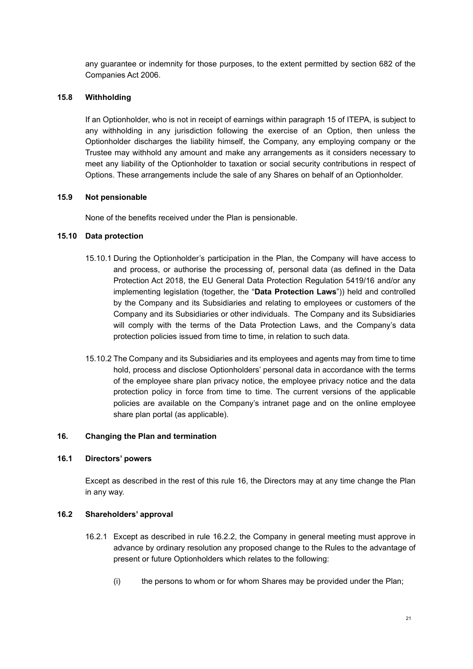any guarantee or indemnity for those purposes, to the extent permitted by section 682 of the Companies Act 2006.

### **15.8 Withholding**

If an Optionholder, who is not in receipt of earnings within paragraph 15 of ITEPA, is subject to any withholding in any jurisdiction following the exercise of an Option, then unless the Optionholder discharges the liability himself, the Company, any employing company or the Trustee may withhold any amount and make any arrangements as it considers necessary to meet any liability of the Optionholder to taxation or social security contributions in respect of Options. These arrangements include the sale of any Shares on behalf of an Optionholder.

### **15.9 Not pensionable**

None of the benefits received under the Plan is pensionable.

### **15.10 Data protection**

- 15.10.1 During the Optionholder's participation in the Plan, the Company will have access to and process, or authorise the processing of, personal data (as defined in the Data Protection Act 2018, the EU General Data Protection Regulation 5419/16 and/or any implementing legislation (together, the "**Data Protection Laws**")) held and controlled by the Company and its Subsidiaries and relating to employees or customers of the Company and its Subsidiaries or other individuals. The Company and its Subsidiaries will comply with the terms of the Data Protection Laws, and the Company's data protection policies issued from time to time, in relation to such data.
- 15.10.2 The Company and its Subsidiaries and its employees and agents may from time to time hold, process and disclose Optionholders' personal data in accordance with the terms of the employee share plan privacy notice, the employee privacy notice and the data protection policy in force from time to time. The current versions of the applicable policies are available on the Company's intranet page and on the online employee share plan portal (as applicable).

#### <span id="page-22-0"></span>**16. Changing the Plan and termination**

#### **16.1 Directors' powers**

Except as described in the rest of this rule [16,](#page-22-0) the Directors may at any time change the Plan in any way.

### <span id="page-22-1"></span>**16.2 Shareholders' approval**

- 16.2.1 Except as described in rule [16.2.2,](#page-23-0) the Company in general meeting must approve in advance by ordinary resolution any proposed change to the Rules to the advantage of present or future Optionholders which relates to the following:
	- (i) the persons to whom or for whom Shares may be provided under the Plan;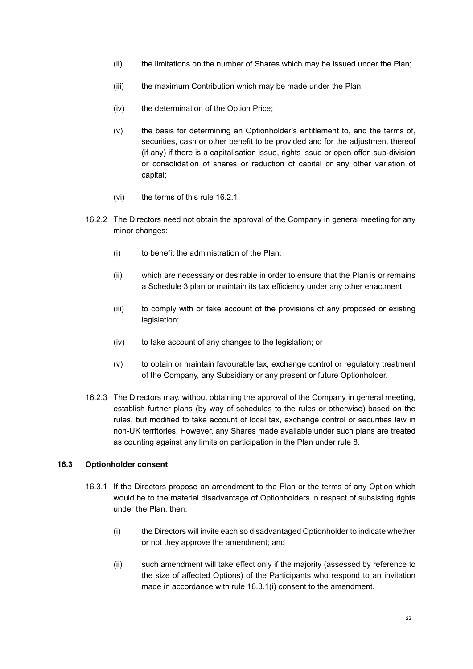- (ii) the limitations on the number of Shares which may be issued under the Plan;
- (iii) the maximum Contribution which may be made under the Plan;
- (iv) the determination of the Option Price;
- (v) the basis for determining an Optionholder's entitlement to, and the terms of, securities, cash or other benefit to be provided and for the adjustment thereof (if any) if there is a capitalisation issue, rights issue or open offer, sub-division or consolidation of shares or reduction of capital or any other variation of capital;
- (vi) the terms of this rule [16.2.1.](#page-22-1)
- <span id="page-23-0"></span>16.2.2 The Directors need not obtain the approval of the Company in general meeting for any minor changes:
	- (i) to benefit the administration of the Plan;
	- (ii) which are necessary or desirable in order to ensure that the Plan is or remains a Schedule 3 plan or maintain its tax efficiency under any other enactment;
	- (iii) to comply with or take account of the provisions of any proposed or existing legislation;
	- (iv) to take account of any changes to the legislation; or
	- (v) to obtain or maintain favourable tax, exchange control or regulatory treatment of the Company, any Subsidiary or any present or future Optionholder.
- 16.2.3 The Directors may, without obtaining the approval of the Company in general meeting, establish further plans (by way of schedules to the rules or otherwise) based on the rules, but modified to take account of local tax, exchange control or securities law in non-UK territories. However, any Shares made available under such plans are treated as counting against any limits on participation in the Plan under rule [8.](#page-9-1)

## **16.3 Optionholder consent**

- <span id="page-23-1"></span>16.3.1 If the Directors propose an amendment to the Plan or the terms of any Option which would be to the material disadvantage of Optionholders in respect of subsisting rights under the Plan, then:
	- (i) the Directors will invite each so disadvantaged Optionholder to indicate whether or not they approve the amendment; and
	- (ii) such amendment will take effect only if the majority (assessed by reference to the size of affected Options) of the Participants who respond to an invitation made in accordance with rule [16.3.1\(i\)](#page-23-1) consent to the amendment.